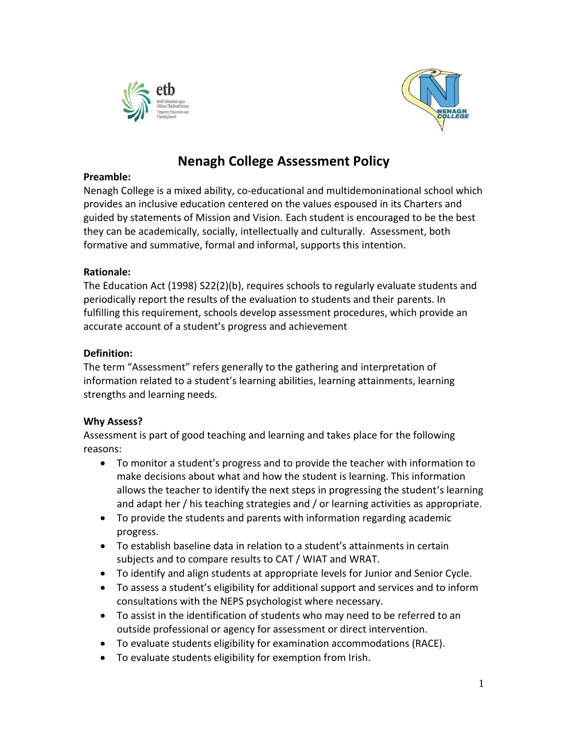



# **Nenagh College Assessment Policy**

# **Preamble:**

Nenagh College is a mixed ability, co-educational and multidemoninational school which provides an inclusive education centered on the values espoused in its Charters and guided by statements of Mission and Vision. Each student is encouraged to be the best they can be academically, socially, intellectually and culturally. Assessment, both formative and summative, formal and informal, supports this intention.

# **Rationale:**

The Education Act (1998) S22(2)(b), requires schools to regularly evaluate students and periodically report the results of the evaluation to students and their parents. In fulfilling this requirement, schools develop assessment procedures, which provide an accurate account of a student's progress and achievement

# **Definition:**

The term "Assessment" refers generally to the gathering and interpretation of information related to a student's learning abilities, learning attainments, learning strengths and learning needs.

# **Why Assess?**

Assessment is part of good teaching and learning and takes place for the following reasons:

- To monitor a student's progress and to provide the teacher with information to make decisions about what and how the student is learning. This information allows the teacher to identify the next steps in progressing the student's learning and adapt her / his teaching strategies and / or learning activities as appropriate.
- To provide the students and parents with information regarding academic progress.
- To establish baseline data in relation to a student's attainments in certain subjects and to compare results to CAT / WIAT and WRAT.
- To identify and align students at appropriate levels for Junior and Senior Cycle.
- To assess a student's eligibility for additional support and services and to inform consultations with the NEPS psychologist where necessary.
- To assist in the identification of students who may need to be referred to an outside professional or agency for assessment or direct intervention.
- To evaluate students eligibility for examination accommodations (RACE).
- To evaluate students eligibility for exemption from Irish.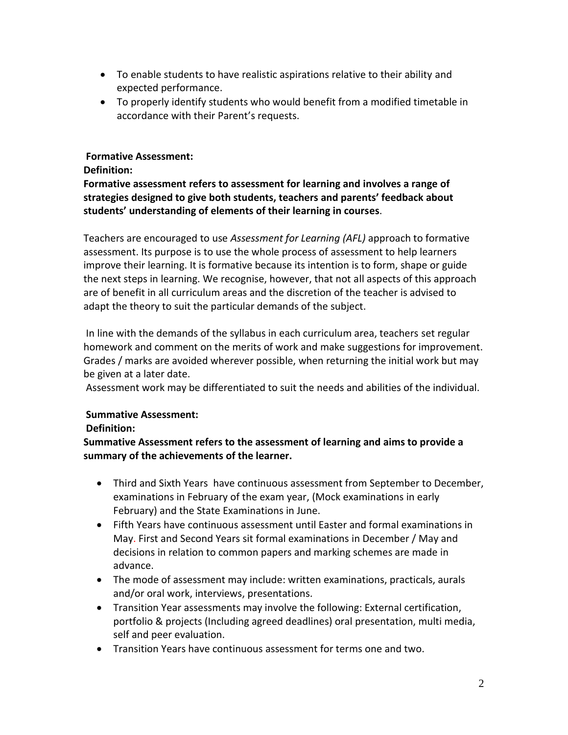- To enable students to have realistic aspirations relative to their ability and expected performance.
- To properly identify students who would benefit from a modified timetable in accordance with their Parent's requests.

# **Formative Assessment:**

#### **Definition:**

**Formative assessment refers to assessment for learning and involves a range of strategies designed to give both students, teachers and parents' feedback about students' understanding of elements of their learning in courses**.

Teachers are encouraged to use *Assessment for Learning (AFL)* approach to formative assessment. Its purpose is to use the whole process of assessment to help learners improve their learning. It is formative because its intention is to form, shape or guide the next steps in learning. We recognise, however, that not all aspects of this approach are of benefit in all curriculum areas and the discretion of the teacher is advised to adapt the theory to suit the particular demands of the subject.

In line with the demands of the syllabus in each curriculum area, teachers set regular homework and comment on the merits of work and make suggestions for improvement. Grades / marks are avoided wherever possible, when returning the initial work but may be given at a later date.

Assessment work may be differentiated to suit the needs and abilities of the individual.

#### **Summative Assessment:**

#### **Definition:**

**Summative Assessment refers to the assessment of learning and aims to provide a summary of the achievements of the learner.**

- Third and Sixth Years have continuous assessment from September to December, examinations in February of the exam year, (Mock examinations in early February) and the State Examinations in June.
- Fifth Years have continuous assessment until Easter and formal examinations in May. First and Second Years sit formal examinations in December / May and decisions in relation to common papers and marking schemes are made in advance.
- The mode of assessment may include: written examinations, practicals, aurals and/or oral work, interviews, presentations.
- Transition Year assessments may involve the following: External certification, portfolio & projects (Including agreed deadlines) oral presentation, multi media, self and peer evaluation.
- Transition Years have continuous assessment for terms one and two.